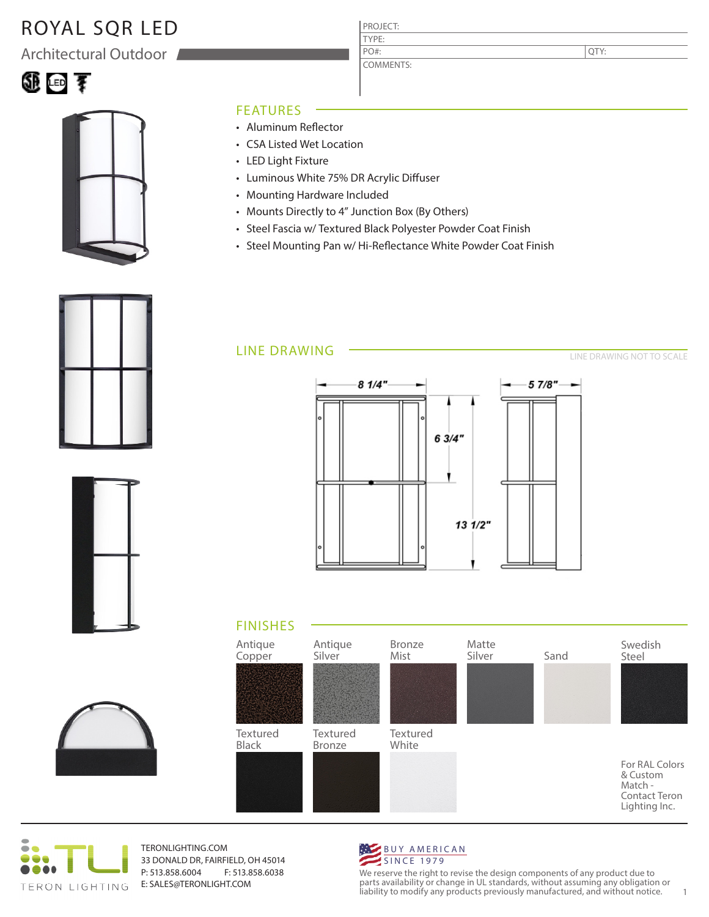## ROYAL SQR LED

Architectural Outdoor

# 狐田子



### FEATURES

- Aluminum Reflector
- CSA Listed Wet Location
- LED Light Fixture
- Luminous White 75% DR Acrylic Diffuser
- Mounting Hardware Included
- Mounts Directly to 4" Junction Box (By Others)
- Steel Fascia w/ Textured Black Polyester Powder Coat Finish

PROJECT: TYPE:

PO#:

COMMENTS:

• Steel Mounting Pan w/ Hi-Reflectance White Powder Coat Finish







## LINE DRAWING







TERONLIGHTING.COM 33 DONALD DR, FAIRFIELD, OH 45014 P: 513.858.6004 F: 513.858.6038 E: SALES@TERONLIGHT.COM



We reserve the right to revise the design components of any product due to parts availability or change in UL standards, without assuming any obligation or liability to modify any products previously manufactured, and without notice. 1

QTY:

LINE DRAWING NOT TO SCALE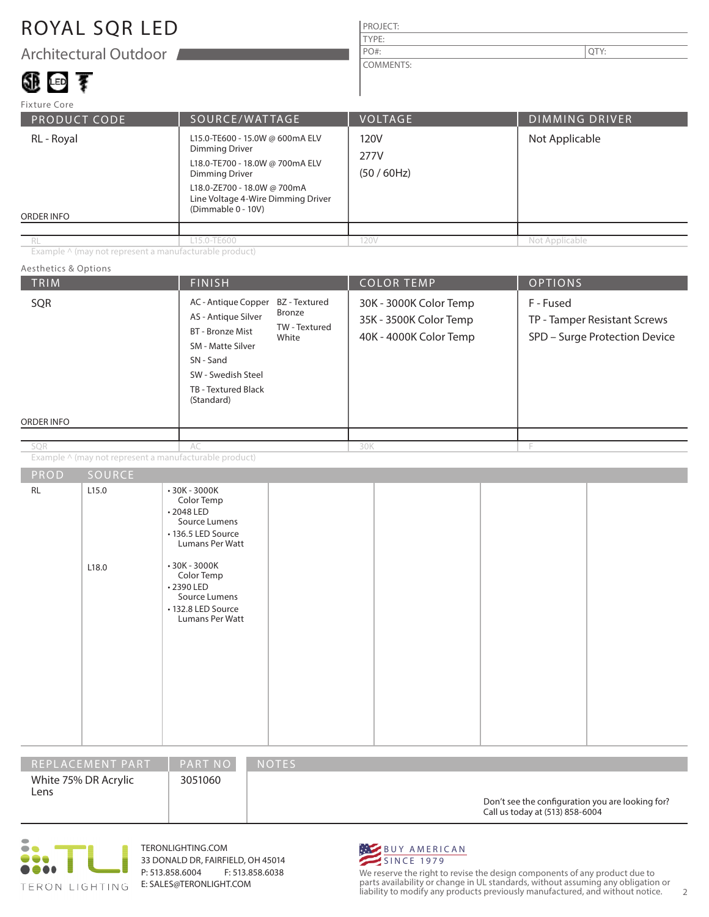### ROYAL SQR LED

Architectural Outdoor

## 題画す

#### PROJECT: TYPE: COMMENTS: PO#:  $\vert$  QTY:

| Fixture Core                                                                                                                                                                                                                         |                |                           |                       |  |  |
|--------------------------------------------------------------------------------------------------------------------------------------------------------------------------------------------------------------------------------------|----------------|---------------------------|-----------------------|--|--|
| <b>PRODUCT CODE</b>                                                                                                                                                                                                                  | SOURCE/WATTAGE | <b>VOLTAGE</b>            | <b>DIMMING DRIVER</b> |  |  |
| L15.0-TE600 - 15.0W @ 600mA ELV<br>RL - Royal<br>Dimming Driver<br>L18.0-TE700 - 18.0W @ 700mA ELV<br><b>Dimming Driver</b><br>L18.0-ZE700 - 18.0W @ 700mA<br>Line Voltage 4-Wire Dimming Driver<br>(Dimmable 0 - 10V)<br>ORDER INFO |                | 120V<br>277V<br>(50/60Hz) | Not Applicable        |  |  |
|                                                                                                                                                                                                                                      |                |                           |                       |  |  |
| RL                                                                                                                                                                                                                                   | L15.0-TE600    | 120V                      | Not Applicable        |  |  |

Example ^ (may not represent a manufacturable product)

#### TRIM  $\begin{array}{|c|c|c|c|c|c|}\hline \text{FINISH} & \text{COLOR TEMP} & \text{OPTIONS} \ \hline \end{array}$ ORDER INFO Aesthetics & Options PROD SOURCE Example ^ (may not represent a manufacturable product) 30K - 3000K Color Temp 35K - 3500K Color Temp 40K - 4000K Color Temp F - Fused TP - Tamper Resistant Screws SPD – Surge Protection Device AC - Antique Copper BZ - Textured AS - Antique Silver BT - Bronze Mist SM - Matte Silver SN - Sand SW - Swedish Steel TB - Textured Black (Standard) AC 30K F RL 2.15.0 L18.0 • 30K - 3000K Color Temp • 2048 LED Source Lumens • 136.5 LED Source Lumans Per Watt • 30K - 3000K Color Temp • 2390 LED Source Lumens • 132.8 LED Source Lumans Per Watt Bronze TW - Textured White SQR SQR

| IREPLACEMENT PART '          | <b>PART NO</b> | <b>NOTES</b>                                                                        |
|------------------------------|----------------|-------------------------------------------------------------------------------------|
| White 75% DR Acrylic<br>Lens | 3051060        | Don't see the configuration you are looking for?<br>Call us today at (513) 858-6004 |



TERONLIGHTING.COM 33 DONALD DR, FAIRFIELD, OH 45014 P: 513.858.6004 F: 513.858.6038 E: SALES@TERONLIGHT.COM



We reserve the right to revise the design components of any product due to parts availability or change in UL standards, without assuming any obligation or liability to modify any products previously manufactured, and without notice. 2